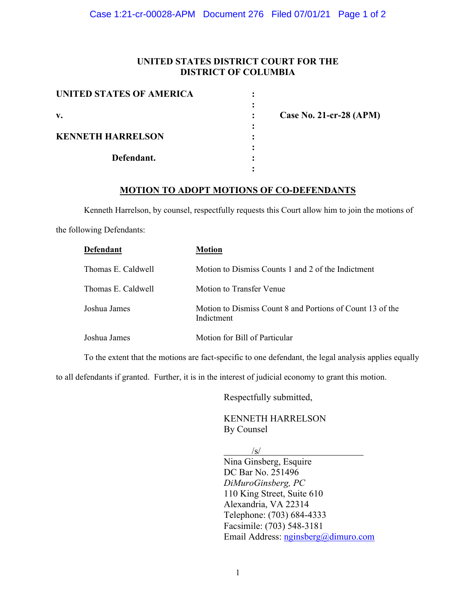## **UNITED STATES DISTRICT COURT FOR THE DISTRICT OF COLUMBIA**

| <b>UNITED STATES OF AMERICA</b> |                           |
|---------------------------------|---------------------------|
|                                 |                           |
| $\mathbf{v}$ .                  | Case No. 21-cr-28 $(APM)$ |
|                                 |                           |
| <b>KENNETH HARRELSON</b>        |                           |
|                                 |                           |
| Defendant.                      |                           |
|                                 |                           |

## **MOTION TO ADOPT MOTIONS OF CO-DEFENDANTS**

 Kenneth Harrelson, by counsel, respectfully requests this Court allow him to join the motions of the following Defendants:

| <b>Defendant</b>   | Motion                                                                  |
|--------------------|-------------------------------------------------------------------------|
| Thomas E. Caldwell | Motion to Dismiss Counts 1 and 2 of the Indictment                      |
| Thomas E. Caldwell | Motion to Transfer Venue                                                |
| Joshua James       | Motion to Dismiss Count 8 and Portions of Count 13 of the<br>Indictment |
| Joshua James       | Motion for Bill of Particular                                           |

To the extent that the motions are fact-specific to one defendant, the legal analysis applies equally

to all defendants if granted. Further, it is in the interest of judicial economy to grant this motion.

Respectfully submitted,

KENNETH HARRELSON By Counsel

 $\sqrt{s}$ / Nina Ginsberg, Esquire DC Bar No. 251496 *DiMuroGinsberg, PC* 110 King Street, Suite 610 Alexandria, VA 22314 Telephone: (703) 684-4333 Facsimile: (703) 548-3181 Email Address: nginsberg@dimuro.com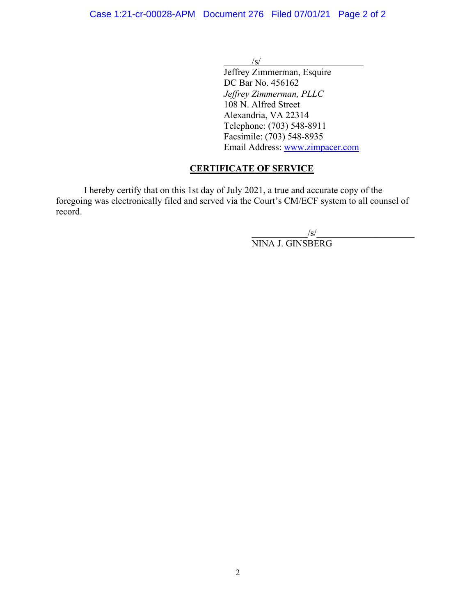$/$ s/

Jeffrey Zimmerman, Esquire DC Bar No. 456162 *Jeffrey Zimmerman, PLLC*  108 N. Alfred Street Alexandria, VA 22314 Telephone: (703) 548-8911 Facsimile: (703) 548-8935 Email Address: www.zimpacer.com

## **CERTIFICATE OF SERVICE**

I hereby certify that on this 1st day of July 2021, a true and accurate copy of the foregoing was electronically filed and served via the Court's CM/ECF system to all counsel of record.

 $\sqrt{s}$ / NINA J. GINSBERG